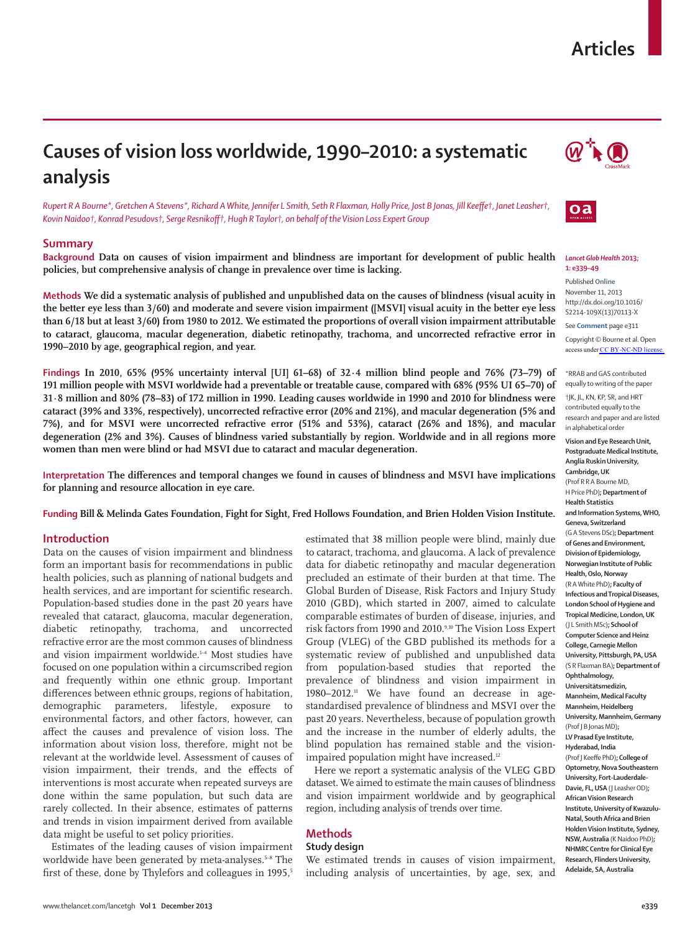# **Articles**

# **Causes of vision loss worldwide, 1990–2010: a systematic analysis**

*Rupert R A Bourne\*, Gretchen A Stevens\*, Richard A White, Jennifer L Smith, Seth R Flaxman, Holly Price, Jost B Jonas, Jill Keeff e†, Janet Leasher†, Kovin Naidoo†, Konrad Pesudovs†, Serge Resnikoff †, Hugh R Taylor†, on behalf of the Vision Loss Expert Group*

## **Summary**

**Background Data on causes of vision impairment and blindness are important for development of public health policies, but comprehensive analysis of change in prevalence over time is lacking.**

**Methods We did a systematic analysis of published and unpublished data on the causes of blindness (visual acuity in the better eye less than 3/60) and moderate and severe vision impairment ([MSVI] visual acuity in the better eye less than 6/18 but at least 3/60) from 1980 to 2012. We estimated the proportions of overall vision impairment attributable to cataract, glaucoma, macular degeneration, diabetic retinopathy, trachoma, and uncorrected refractive error in 1990–2010 by age, geographical region, and year.**

**Findings In 2010, 65% (95% uncertainty interval [UI] 61–68) of 32·4 million blind people and 76% (73–79) of 191 million people with MSVI worldwide had a preventable or treatable cause, compared with 68% (95% UI 65–70) of 31·8 million and 80% (78–83) of 172 million in 1990. Leading causes worldwide in 1990 and 2010 for blindness were cataract (39% and 33%, respectively), uncorrected refractive error (20% and 21%), and macular degeneration (5% and 7%), and for MSVI were uncorrected refractive error (51% and 53%), cataract (26% and 18%), and macular degeneration (2% and 3%). Causes of blindness varied substantially by region. Worldwide and in all regions more women than men were blind or had MSVI due to cataract and macular degeneration.**

**Interpretation** The differences and temporal changes we found in causes of blindness and MSVI have implications **for planning and resource allocation in eye care.**

**Funding Bill & Melinda Gates Foundation, Fight for Sight, Fred Hollows Foundation, and Brien Holden Vision Institute.**

#### **Introduction**

Data on the causes of vision impairment and blindness form an important basis for recommendations in public health policies, such as planning of national budgets and health services, and are important for scientific research. Population-based studies done in the past 20 years have revealed that cataract, glaucoma, macular degeneration, diabetic retinopathy, trachoma, and uncorrected refractive error are the most common causes of blindness and vision impairment worldwide.<sup>14</sup> Most studies have focused on one population within a circumscribed region and frequently within one ethnic group. Important differences between ethnic groups, regions of habitation, demographic parameters, lifestyle, exposure to environmental factors, and other factors, however, can affect the causes and prevalence of vision loss. The information about vision loss, therefore, might not be relevant at the worldwide level. Assessment of causes of vision impairment, their trends, and the effects of interventions is most accurate when repeated surveys are done within the same population, but such data are rarely collected. In their absence, estimates of patterns and trends in vision impairment derived from available data might be useful to set policy priorities.

Estimates of the leading causes of vision impairment worldwide have been generated by meta-analyses.<sup>5-8</sup> The first of these, done by Thylefors and colleagues in 1995,<sup>5</sup> estimated that 38 million people were blind, mainly due to cataract, trachoma, and glaucoma. A lack of prevalence data for diabetic retinopathy and macular degeneration precluded an estimate of their burden at that time. The Global Burden of Disease, Risk Factors and Injury Study 2010 (GBD), which started in 2007, aimed to calculate comparable estimates of burden of disease, injuries, and risk factors from 1990 and 2010.<sup>9,10</sup> The Vision Loss Expert Group (VLEG) of the GBD published its methods for a systematic review of published and unpublished data from population-based studies that reported the prevalence of blindness and vision impairment in  $1980-2012$ .<sup>11</sup> We have found an decrease in agestandardised prevalence of blindness and MSVI over the past 20 years. Nevertheless, because of population growth and the increase in the number of elderly adults, the blind population has remained stable and the visionimpaired population might have increased.<sup>12</sup>

Here we report a systematic analysis of the VLEG GBD dataset. We aimed to estimate the main causes of blindness and vision impairment worldwide and by geographical region, including analysis of trends over time.

# **Methods**

### **Study design**

We estimated trends in causes of vision impairment, including analysis of uncertainties, by age, sex, and





#### *Lancet Glob Health* **2013; 1: e339–49**

Published **Online** November 11, 2013 http://dx.doi.org/10.1016/ S2214-109X(13)70113-X

Copyright © Bourne et al. Open access under [CC BY-NC-ND license.](http://creativecommons.org/licenses/by-nc-nd/4.0/)

\*RRAB and GAS contributed equally to writing of the paper †JK, JL, KN, KP, SR, and HRT contributed equally to the research and paper and are listed in alphabetical order

**Vision and Eye Research Unit, Postgraduate Medical Institute, Anglia Ruskin University, Cambridge, UK** (Prof R R A Bourne MD, H Price PhD)**; Department of Health Statistics and Information Systems, WHO, Geneva, Switzerland** (G A Stevens DSc)**; Department of Genes and Environment, Division of Epidemiology, Norwegian Institute of Public Health, Oslo, Norway** (R A White PhD)**; Faculty of Infectious and Tropical Diseases, London School of Hygiene and Tropical Medicine, London, UK** (J L Smith MSc)**; School of Computer Science and Heinz College, Carnegie Mellon University, Pittsburgh, PA, USA** (S R Flaxman BA)**; Department of Ophthalmology, Universitätsmedizin, Mannheim, Medical Faculty Mannheim, Heidelberg University, Mannheim, Germany** (Prof J B Jonas MD)**; LV Prasad Eye Institute, Hyderabad, India**  (Prof J Keeffe PhD); College of **Optometry, Nova Southeastern University, Fort-Lauderdale-Davie, FL, USA** (J Leasher OD)**; African Vision Research Institute, University of Kwazulu-Natal, South Africa and Brien Holden Vision Institute, Sydney, NSW, Australia** (K Naidoo PhD)**; NHMRC Centre for Clinical Eye Research, Flinders University, Adelaide, SA, Australia**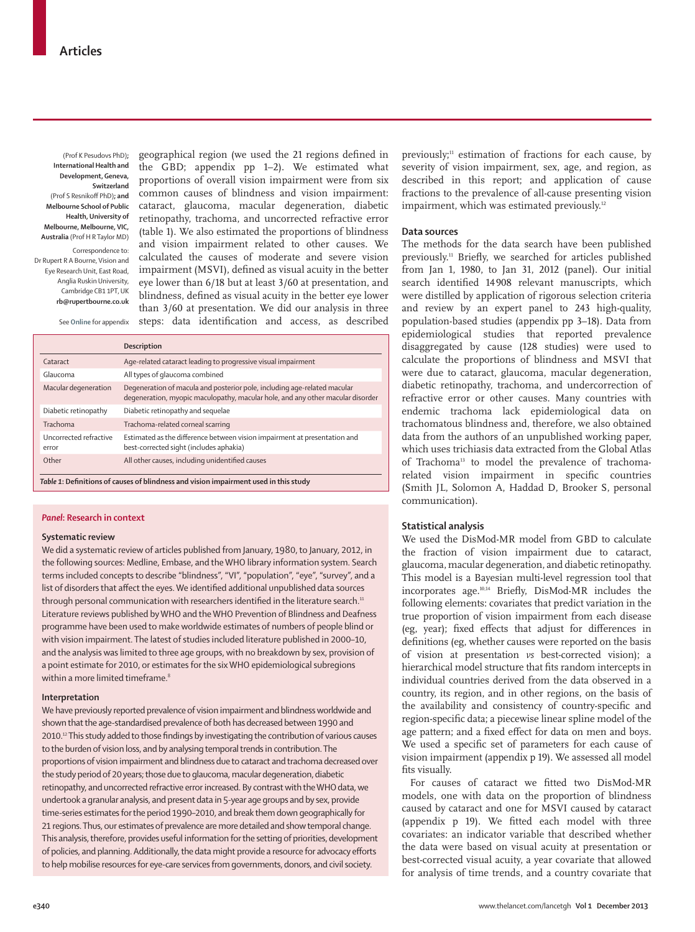(Prof K Pesudovs PhD)**; International Health and Development, Geneva, Switzerland** (Prof S Resnikoff PhD)**; and Melbourne School of Public Health, University of Melbourne, Melbourne, VIC, Australia** (Prof H R Taylor MD) Correspondence to: Dr Rupert R A Bourne, Vision and Eye Research Unit, East Road, Anglia Ruskin University, Cambridge CB1 1PT, UK **rb@rupertbourne.co.uk**

geographical region (we used the 21 regions defined in the GBD; appendix pp 1–2). We estimated what proportions of overall vision impairment were from six common causes of blindness and vision impairment: cataract, glaucoma, macular degeneration, diabetic retinopathy, trachoma, and uncorrected refractive error (table 1). We also estimated the proportions of blindness and vision impairment related to other causes. We calculated the causes of moderate and severe vision impairment (MSVI), defined as visual acuity in the better eye lower than 6/18 but at least 3/60 at presentation, and blindness, defined as visual acuity in the better eye lower than 3/60 at presentation. We did our analysis in three steps: data identification and access, as described

See **Online** for appendix

| Description                                                                                                                                                |
|------------------------------------------------------------------------------------------------------------------------------------------------------------|
| Age-related cataract leading to progressive visual impairment                                                                                              |
| All types of glaucoma combined                                                                                                                             |
| Degeneration of macula and posterior pole, including age-related macular<br>degeneration, myopic maculopathy, macular hole, and any other macular disorder |
| Diabetic retinopathy and sequelae                                                                                                                          |
| Trachoma-related corneal scarring                                                                                                                          |
| Estimated as the difference between vision impairment at presentation and<br>best-corrected sight (includes aphakia)                                       |
| All other causes, including unidentified causes                                                                                                            |
|                                                                                                                                                            |

Table 1: Definitions of causes of blindness and vision impairment used in this study

#### *Panel***: Research in context**

#### **Systematic review**

We did a systematic review of articles published from January, 1980, to January, 2012, in the following sources: Medline, Embase, and the WHO library information system. Search terms included concepts to describe "blindness", "VI", "population", "eye", "survey", and a list of disorders that affect the eyes. We identified additional unpublished data sources through personal communication with researchers identified in the literature search.<sup>11</sup> Literature reviews published by WHO and the WHO Prevention of Blindness and Deafness programme have been used to make worldwide estimates of numbers of people blind or with vision impairment. The latest of studies included literature published in 2000–10, and the analysis was limited to three age groups, with no breakdown by sex, provision of a point estimate for 2010, or estimates for the six WHO epidemiological subregions within a more limited timeframe.<sup>8</sup>

# **Interpretation**

We have previously reported prevalence of vision impairment and blindness worldwide and shown that the age-standardised prevalence of both has decreased between 1990 and 2010.<sup>12</sup> This study added to those findings by investigating the contribution of various causes to the burden of vision loss, and by analysing temporal trends in contribution. The proportions of vision impairment and blindness due to cataract and trachoma decreased over the study period of 20 years; those due to glaucoma, macular degeneration, diabetic retinopathy, and uncorrected refractive error increased. By contrast with the WHO data, we undertook a granular analysis, and present data in 5-year age groups and by sex, provide time-series estimates for the period 1990–2010, and break them down geographically for 21 regions. Thus, our estimates of prevalence are more detailed and show temporal change. This analysis, therefore, provides useful information for the setting of priorities, development of policies, and planning. Additionally, the data might provide a resource for advocacy efforts to help mobilise resources for eye-care services from governments, donors, and civil society.

previously;<sup>11</sup> estimation of fractions for each cause, by severity of vision impairment, sex, age, and region, as described in this report; and application of cause fractions to the prevalence of all-cause presenting vision impairment, which was estimated previously.<sup>12</sup>

#### **Data sources**

The methods for the data search have been published previously.<sup>11</sup> Briefly, we searched for articles published from Jan 1, 1980, to Jan 31, 2012 (panel). Our initial search identified 14908 relevant manuscripts, which were distilled by application of rigorous selection criteria and review by an expert panel to 243 high-quality, population-based studies (appendix pp 3–18). Data from epidemiological studies that reported prevalence disaggregated by cause (128 studies) were used to calculate the proportions of blindness and MSVI that were due to cataract, glaucoma, macular degeneration, diabetic retinopathy, trachoma, and undercorrection of refractive error or other causes. Many countries with endemic trachoma lack epidemiological data on trachomatous blindness and, therefore, we also obtained data from the authors of an unpublished working paper, which uses trichiasis data extracted from the Global Atlas of Trachoma<sup>13</sup> to model the prevalence of trachomarelated vision impairment in specific countries (Smith JL, Solomon A, Haddad D, Brooker S, personal communication).

# **Statistical analysis**

We used the DisMod-MR model from GBD to calculate the fraction of vision impairment due to cataract, glaucoma, macular degeneration, and diabetic retinopathy. This model is a Bayesian multi-level regression tool that incorporates age.<sup>10,14</sup> Briefly, DisMod-MR includes the following elements: covariates that predict variation in the true proportion of vision impairment from each disease (eg, year); fixed effects that adjust for differences in definitions (eg, whether causes were reported on the basis of vision at presentation *vs* best-corrected vision); a hierarchical model structure that fits random intercepts in individual countries derived from the data observed in a country, its region, and in other regions, on the basis of the availability and consistency of country-specific and region-specific data; a piecewise linear spline model of the age pattern; and a fixed effect for data on men and boys. We used a specific set of parameters for each cause of vision impairment (appendix p 19). We assessed all model fits visually.

For causes of cataract we fitted two DisMod-MR models, one with data on the proportion of blindness caused by cataract and one for MSVI caused by cataract (appendix p 19). We fitted each model with three covariates: an indicator variable that described whether the data were based on visual acuity at presentation or best-corrected visual acuity, a year covariate that allowed for analysis of time trends, and a country covariate that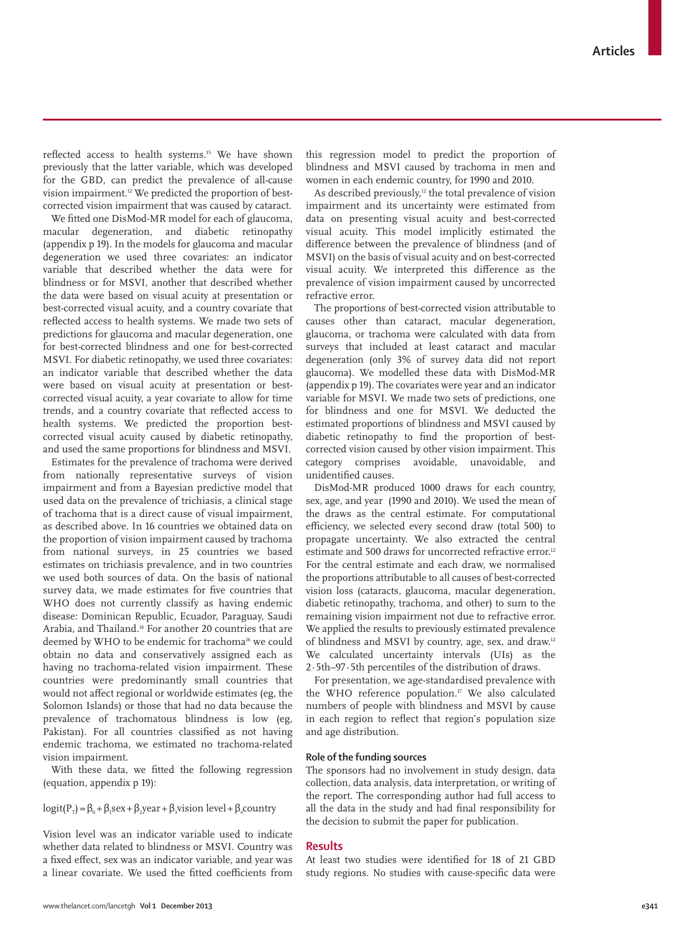reflected access to health systems.<sup>15</sup> We have shown previously that the latter variable, which was developed for the GBD, can predict the prevalence of all-cause vision impairment.12 We predicted the proportion of bestcorrected vision impairment that was caused by cataract.

We fitted one DisMod-MR model for each of glaucoma, macular degeneration, and diabetic retinopathy (appendix p 19). In the models for glaucoma and macular degeneration we used three covariates: an indicator variable that described whether the data were for blindness or for MSVI, another that described whether the data were based on visual acuity at presentation or best-corrected visual acuity, and a country covariate that reflected access to health systems. We made two sets of predictions for glaucoma and macular degeneration, one for best-corrected blindness and one for best-corrected MSVI. For diabetic retinopathy, we used three covariates: an indicator variable that described whether the data were based on visual acuity at presentation or bestcorrected visual acuity, a year covariate to allow for time trends, and a country covariate that reflected access to health systems. We predicted the proportion bestcorrected visual acuity caused by diabetic retinopathy, and used the same proportions for blindness and MSVI.

Estimates for the prevalence of trachoma were derived from nationally representative surveys of vision impairment and from a Bayesian predictive model that used data on the prevalence of trichiasis, a clinical stage of trachoma that is a direct cause of visual impairment, as described above. In 16 countries we obtained data on the proportion of vision impairment caused by trachoma from national surveys, in 25 countries we based estimates on trichiasis prevalence, and in two countries we used both sources of data. On the basis of national survey data, we made estimates for five countries that WHO does not currently classify as having endemic disease: Dominican Republic, Ecuador, Paraguay, Saudi Arabia, and Thailand.16 For another 20 countries that are deemed by WHO to be endemic for trachoma<sup>16</sup> we could obtain no data and conservatively assigned each as having no trachoma-related vision impairment. These countries were predominantly small countries that would not affect regional or worldwide estimates (eg, the Solomon Islands) or those that had no data because the prevalence of trachomatous blindness is low (eg, Pakistan). For all countries classified as not having endemic trachoma, we estimated no trachoma-related vision impairment.

With these data, we fitted the following regression (equation, appendix p 19):

 $logit(P_T) = \beta_0 + \beta_1$ sex +  $\beta_2$ year +  $\beta_3$ vision level +  $\beta_4$ country

Vision level was an indicator variable used to indicate whether data related to blindness or MSVI. Country was a fixed effect, sex was an indicator variable, and year was a linear covariate. We used the fitted coefficients from this regression model to predict the proportion of blindness and MSVI caused by trachoma in men and women in each endemic country, for 1990 and 2010.

As described previously,<sup>12</sup> the total prevalence of vision impairment and its uncertainty were estimated from data on presenting visual acuity and best-corrected visual acuity. This model implicitly estimated the difference between the prevalence of blindness (and of MSVI) on the basis of visual acuity and on best-corrected visual acuity. We interpreted this difference as the prevalence of vision impairment caused by uncorrected refractive error.

The proportions of best-corrected vision attributable to causes other than cataract, macular degeneration, glaucoma, or trachoma were calculated with data from surveys that included at least cataract and macular degeneration (only 3% of survey data did not report glaucoma). We modelled these data with DisMod-MR (appendix p 19). The covariates were year and an indicator variable for MSVI. We made two sets of predictions, one for blindness and one for MSVI. We deducted the estimated proportions of blindness and MSVI caused by diabetic retinopathy to find the proportion of bestcorrected vision caused by other vision impairment. This category comprises avoidable, unavoidable, and unidentified causes.

DisMod-MR produced 1000 draws for each country, sex, age, and year (1990 and 2010). We used the mean of the draws as the central estimate. For computational efficiency, we selected every second draw (total 500) to propagate uncertainty. We also extracted the central estimate and 500 draws for uncorrected refractive error.<sup>12</sup> For the central estimate and each draw, we normalised the proportions attributable to all causes of best-corrected vision loss (cataracts, glaucoma, macular degeneration, diabetic retinopathy, trachoma, and other) to sum to the remaining vision impairment not due to refractive error. We applied the results to previously estimated prevalence of blindness and MSVI by country, age, sex, and draw.12 We calculated uncertainty intervals (UIs) as the 2·5th–97·5th percentiles of the distribution of draws.

For presentation, we age-standardised prevalence with the WHO reference population.<sup>17</sup> We also calculated numbers of people with blindness and MSVI by cause in each region to reflect that region's population size and age distribution.

# **Role of the funding sources**

The sponsors had no involvement in study design, data collection, data analysis, data interpretation, or writing of the report. The corresponding author had full access to all the data in the study and had final responsibility for the decision to submit the paper for publication.

# **Results**

At least two studies were identified for 18 of 21 GBD study regions. No studies with cause-specific data were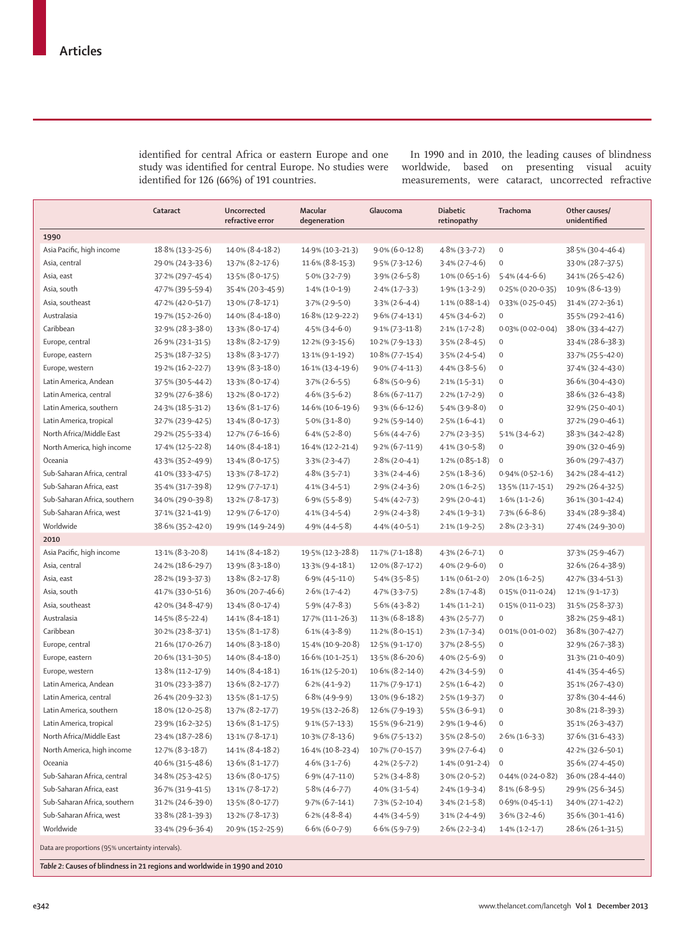identified for central Africa or eastern Europe and one study was identified for central Europe. No studies were identified for 126 (66%) of 191 countries.

In 1990 and in 2010, the leading causes of blindness worldwide, based on presenting visual acuity measurements, were cataract, uncorrected refractive

|                                                   | Cataract              | Uncorrected<br>refractive error | Macular<br>degeneration | Glaucoma               | <b>Diabetic</b><br>retinopathy | Trachoma             | Other causes/<br>unidentified |
|---------------------------------------------------|-----------------------|---------------------------------|-------------------------|------------------------|--------------------------------|----------------------|-------------------------------|
| 1990                                              |                       |                                 |                         |                        |                                |                      |                               |
| Asia Pacific, high income                         | $18.8\%$ (13.3-25.6)  | $14.0\% (8.4 - 18.2)$           | 14.9% (10.3-21.3)       | $9.0\% (6.0 - 12.8)$   | $4.8\%$ (3.3-7.2)              | $\mathbf 0$          | 38.5% (30.4-46.4)             |
| Asia, central                                     | 29.0% (24.3-33.6)     | 13.7% (8.2-17.6)                | $11.6\% (8.8-15.3)$     | $9.5\%$ (7.3-12.6)     | $3.4\% (2.7 - 4.6)$            | $\mathbf 0$          | 33.0% (28.7-37.5)             |
| Asia, east                                        | 37.2% (29.7-45.4)     | $13.5\% (8.0 - 17.5)$           | $5.0\%$ (3.2-7.9)       | $3.9\%$ (2.6–5.8)      | $1.0\%$ (0.65-1.6)             | $5.4\%$ (4.4–6.6)    | 34.1% (26.5-42.6)             |
| Asia, south                                       | 47.7% (39.5-59.4)     | 35.4% (20.3-45.9)               | $1.4\%$ $(1.0-1.9)$     | $2.4\% (1.7-3.3)$      | $1.9\%$ (1.3-2.9)              | 0.25% (0.20-0.35)    | 10.9% (8.6-13.9)              |
| Asia, southeast                                   | 47.2% (42.0-51.7)     | 13.0% (7.8-17.1)                | $3.7\%$ (2.9-5.0)       | $3.3\%$ (2.6-4.4)      | $1.1\% (0.88 - 1.4)$           | $0.33\%$ (0.25-0.45) | $31.4\% (27.2 - 36.1)$        |
| Australasia                                       | 19.7% (15.2-26.0)     | $14.0\% (8.4 - 18.0)$           | $16.8\% (12.9 - 22.2)$  | $9.6\%$ (7.4-13.1)     | $4.5\%$ (3.4–6.2)              | $\mathbf 0$          | 35.5% (29.2-41.6)             |
| Caribbean                                         | 32.9% (28.3-38.0)     | 13.3% (8.0-17.4)                | $4.5\%$ (3.4–6.0)       | $9.1\% (7.3 - 11.8)$   | $2.1\% (1.7 - 2.8)$            | $0.03\%$ (0.02-0.04) | 38.0% (33.4-42.7)             |
| Europe, central                                   | 26.9% (23.1-31.5)     | 13.8% (8.2-17.9)                | $12.2\% (9.3 - 15.6)$   | $10.2\% (7.9 - 13.3)$  | $3.5\%$ (2.8-4.5)              | $\mathbf 0$          | 33.4% (28.6-38.3)             |
| Europe, eastern                                   | 25.3% (18.7-32.5)     | 13.8% (8.3-17.7)                | 13.1% (9.1-19.2)        | $10.8\%$ (7.7–15.4)    | $3.5\%$ (2.4-5.4)              | $\mathbf 0$          | 33.7% (25.5-42.0)             |
| Europe, western                                   | 19.2% (16.2-22.7)     | 13.9% (8.3-18.0)                | 16.1% (13.4-19.6)       | $9.0\%$ (7 $-4-11-3$ ) | $4.4\%$ (3.8–5.6)              | $\mathbf 0$          | 37.4% (32.4-43.0)             |
| Latin America, Andean                             | 37.5% (30.5-44.2)     | $13.3\%$ (8.0-17.4)             | $3.7\%$ (2.6–5.5)       | $6.8\%$ (5.0–9.6)      | $2.1\% (1.5-3.1)$              | $\boldsymbol{0}$     | $36.6\%$ (30.4-43.0)          |
| Latin America, central                            | 32.9% (27.6-38.6)     | 13.2% (8.0-17.2)                | $4.6\%$ (3.5–6.2)       | $8.6\%$ (6.7-11.7)     | $2.2\% (1.7 - 2.9)$            | $\mathbf 0$          | $38.6\%$ (32.6-43.8)          |
| Latin America, southern                           | 24.3% (18.5-31.2)     | $13.6\%$ (8.1-17.6)             | 14.6% (10.6-19.6)       | $9.3\% (6.6-12.6)$     | $5.4\%$ (3.9-8.0)              | $\mathbf 0$          | 32.9% (25.0-40.1)             |
| Latin America, tropical                           | 32.7% (23.9-42.5)     | 13.4% (8.0-17.3)                | $5.0\%$ (3.1-8.0)       | $9.2\%$ (5.9-14.0)     | $2.5\% (1.6 - 4.1)$            | $\mathbf 0$          | 37.2% (29.0-46.1)             |
| North Africa/Middle East                          | 29.2% (25.5-33.4)     | $12.7\% (7.6-16.6)$             | $6.4\%$ (5.2–8.0)       | $5.6\%$ (4.4–7.6)      | $2.7\%$ (2.3-3.5)              | $5.1\%$ (3.4–6.2)    | 38.3% (34.2-42.8)             |
| North America, high income                        | 17.4% (12.5-22.8)     | $14.0\%$ (8.4-18.1)             | $16.4\% (12.2 - 21.4)$  | $9.2\% (6.7-11.9)$     | $4.1\%$ (3.0-5.8)              | $\mathbf 0$          | 39.0% (32.0-46.9)             |
| Oceania                                           | 43.3% (35.2-49.9)     | $13.4\%$ (8.0-17.5)             | $3.3\%$ (2.3-4.7)       | $2.8\%$ (2.0-4.1)      | $1.2\%$ (0.85-1.8)             | $\mathbf 0$          | 36.0% (29.7-43.7)             |
| Sub-Saharan Africa, central                       | 41.0% (33.3-47.5)     | 13.3% (7.8-17.2)                | $4.8\%$ (3.5-7.1)       | $3.3\%$ (2.4-4.6)      | $2.5\%$ (1.8-3.6)              | $0.94\%$ (0.52-1.6)  | 34.2% (28.4-41.2)             |
| Sub-Saharan Africa, east                          | 35.4% (31.7-39.8)     | $12.9\% (7.7-17.1)$             | $4.1\%$ (3.4-5.1)       | $2.9\%$ (2.4-3.6)      | $2.0\%$ (1.6–2.5)              | 13.5% (11.7-15.1)    | 29.2% (26.4-32.5)             |
| Sub-Saharan Africa, southern                      | 34.0% (29.0-39.8)     | $13.2\% (7.8-17.3)$             | $6.9\%$ (5.5–8.9)       | $5.4\%$ (4.2–7.3)      | $2.9\%$ (2.0-4.1)              | $1.6\%$ (1.1–2.6)    | 36.1% (30.1-42.4)             |
| Sub-Saharan Africa, west                          | 37-1% (32-1-41-9)     | $12.9\% (7.6-17.0)$             | $4.1\%$ (3.4-5.4)       | $2.9\%$ (2.4-3.8)      | $2.4\%$ (1.9-3.1)              | $7.3\%$ (6.6-8.6)    | 33.4% (28.9-38.4)             |
| Worldwide                                         | 38.6% (35.2-42.0)     | 19.9% (14.9-24.9)               | $4.9\%$ ( $4.4-5.8$ )   | $4.4\%$ (4.0-5.1)      | $2.1\% (1.9 - 2.5)$            | $2.8\%$ (2.3-3.1)    | 27.4% (24.9-30.0)             |
| 2010                                              |                       |                                 |                         |                        |                                |                      |                               |
| Asia Pacific, high income                         | 13.1% (8.3-20.8)      | $14.1\% (8.4 - 18.2)$           | 19.5% (12.3-28.8)       | $11.7\%$ (7.1-18.8)    | $4.3\%$ (2.6-7.1)              | $\boldsymbol{0}$     | 37.3% (25.9-46.7)             |
| Asia, central                                     | 24.2% (18.6-29.7)     | 13.9% (8.3-18.0)                | 13.3% (9.4-18.1)        | 12.0% (8.7-17.2)       | $4.0\%$ (2.9-6.0)              | $\mathbf 0$          | 32.6% (26.4-38.9)             |
| Asia, east                                        | 28.2% (19.3-37.3)     | 13.8% (8.2-17.8)                | $6.9\%$ (4.5-11.0)      | $5.4\%$ (3 $-5-8.5$ )  | $1.1\% (0.61 - 2.0)$           | $2.0\%$ (1.6–2.5)    | 42.7% (33.4-51.3)             |
| Asia, south                                       | 41.7% (33.0-51.6)     | 36.0% (20.7-46.6)               | $2.6\% (1.7 - 4.2)$     | $4.7\%$ (3.3-7.5)      | $2.8\%$ (1.7-4.8)              | $0.15\%$ (0.11-0.24) | $12.1\% (9.1 - 17.3)$         |
| Asia, southeast                                   | 42.0% (34.8-47.9)     | $13.4\%$ (8.0-17.4)             | $5.9\%$ (4.7-8.3)       | $5.6\%$ (4.3-8.2)      | $1.4\% (1.1 - 2.1)$            | $0.15\%$ (0.11-0.23) | $31.5\% (25.8 - 37.3)$        |
| Australasia                                       | 14.5% (8.5-22.4)      | 14.1% (8.4-18.1)                | 17.7% (11.1-26.3)       | $11.3\%$ (6.8–18.8)    | $4.3\%$ (2.5-7.7)              | $\bf{0}$             | 38.2% (25.9-48.1)             |
| Caribbean                                         | 30.2% (23.8-37.1)     | $13.5\% (8.1 - 17.8)$           | $6.1\%$ (4.3–8.9)       | $11.2\% (8.0 - 15.1)$  | $2.3\%$ (1.7-3.4)              | $0.01\%$ (0.01-0.02) | 36.8% (30.7-42.7)             |
| Europe, central                                   | 21.6% (17.0-26.7)     | $14.0\%$ (8.3-18.0)             | 15.4% (10.9-20.8)       | 12.5% (9.1-17.0)       | $3.7\%$ (2.8-5.5)              | $\mathbf 0$          | 32.9% (26.7-38.3)             |
| Europe, eastern                                   | 20.6% (13.1-30.5)     | $14.0\% (8.4 - 18.0)$           | $16.6\% (10.1 - 25.1)$  | 13.5% (8.6-20.6)       | $4.0\%$ (2.5–6.9)              | $\mathbf 0$          | 31.3% (21.0-40.9)             |
| Europe, western                                   | 13.8% (11.2-17.9)     | $14.0\%$ (8.4-18.1)             | $16.1\% (12.5 - 20.1)$  | $10.6\% (8.2 - 14.0)$  | $4.2\%$ (3.4-5.9)              | $\bf{0}$             | 41.4% (35.4-46.5)             |
| Latin America, Andean                             | 31.0% (23.3-38.7)     | 13.6% (8.2-17.7)                | $6.2\%$ (4.1-9.2)       | $11.7\% (7.9-17.1)$    | $2.5\%$ (1.6-4.2)              | $\mathbf 0$          | 35.1% (26.7-43.0)             |
| Latin America, central                            | 26.4% (20.9-32.3)     | 13.5% (8.1-17.5)                | $6.8\%$ (4.9-9.9)       | $13.0\%$ (9.6-18.2)    | $2.5\%$ (1.9-3.7)              | $\mathbf 0$          | 37.8% (30.4-44.6)             |
| Latin America, southern                           | 18.0% (12.0-25.8)     | 13.7% (8.2-17.7)                | 19.5% (13.2-26.8)       | $12.6\% (7.9-19.3)$    | $5.5\%$ (3.6-9.1)              | $\mathbf 0$          | 30.8% (21.8–39.3)             |
| Latin America, tropical                           | 23.9% (16.2–32.5)     | $13.6\% (8.1 - 17.5)$           | $9.1\% (5.7-13.3)$      | $15.5\%$ (9.6–21.9)    | $2.9\%$ (1.9–4.6)              | 0                    | 35·1% (26·3–43·7)             |
| North Africa/Middle East                          | 23.4% (18.7-28.6)     | $13.1\% (7.8-17.1)$             | $10.3\%$ (7.8-13.6)     | $9.6\% (7.5-13.2)$     | $3.5\%$ (2.8–5.0)              | $2.6\%$ (1.6–3.3)    | 37.6% (31.6-43.3)             |
| North America, high income                        | $12.7\% (8.3 - 18.7)$ | $14.1\% (8.4 - 18.2)$           | $16.4\% (10.8-23.4)$    | 10.7% (7.0-15.7)       | $3.9\%$ (2.7-6.4)              | $\mathbf 0$          | 42.2% (32.6–50.1)             |
| Oceania                                           | 40.6% (31.5-48.6)     | $13.6\% (8.1 - 17.7)$           | $4.6\%$ (3.1–7.6)       | $4.2\%$ (2.5-7.2)      | $1.4\%$ (0.91-2.4)             | $\boldsymbol{0}$     | 35.6% (27.4-45.0)             |
| Sub-Saharan Africa, central                       | 34.8% (25.3-42.5)     | $13.6\%$ (8.0-17.5)             | $6.9\%$ (4.7-11.0)      | $5.2\%$ (3.4-8.8)      | $3.0\%$ (2.0–5.2)              | $0.44\%$ (0.24-0.82) | 36.0% (28.4-44.0)             |
| Sub-Saharan Africa, east                          | 36.7% (31.9-41.5)     | $13.1\% (7.8-17.2)$             | $5.8\%$ (4.6-7.7)       | $4.0\%$ (3.1–5.4)      | $2.4\%$ (1.9-3.4)              | $8.1\% (6.8-9.5)$    | 29.9% (25.6-34.5)             |
| Sub-Saharan Africa, southern                      | 31.2% (24.6-39.0)     | 13.5% (8.0-17.7)                | $9.7\%$ (6.7-14.1)      | $7.3\%$ (5.2–10.4)     | $3.4\%$ (2.1–5.8)              | $0.69\%$ (0.45-1.1)  | 34.0% (27.1-42.2)             |
| Sub-Saharan Africa, west                          | 33.8% (28.1-39.3)     | $13.2\% (7.8-17.3)$             | $6.2\%$ (4.8–8.4)       | $4.4\%$ (3.4–5.9)      | $3.1\% (2.4 - 4.9)$            | $3.6\%$ (3.2–4.6)    | 35.6% (30.1-41.6)             |
| Worldwide                                         | 33.4% (29.6-36.4)     | 20.9% (15.2-25.9)               | $6.6\%$ (6.0–7.9)       | $6.6\%$ (5.9-7.9)      | $2.6\%$ (2.2-3.4)              | $1.4\%$ (1.2–1.7)    | $28.6\% (26.1 - 31.5)$        |
| Data are proportions (95% uncertainty intervals). |                       |                                 |                         |                        |                                |                      |                               |

*Table 2***: Causes of blindness in 21 regions and worldwide in 1990 and 2010**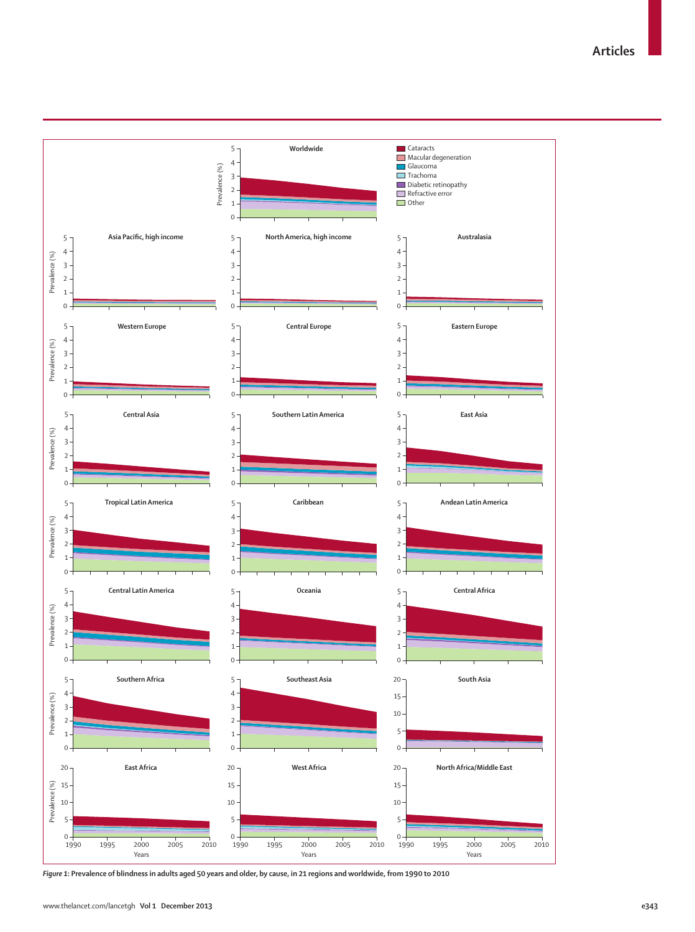**Articles**



*Figure 1***: Prevalence of blindness in adults aged 50 years and older, by cause, in 21 regions and worldwide, from 1990 to 2010**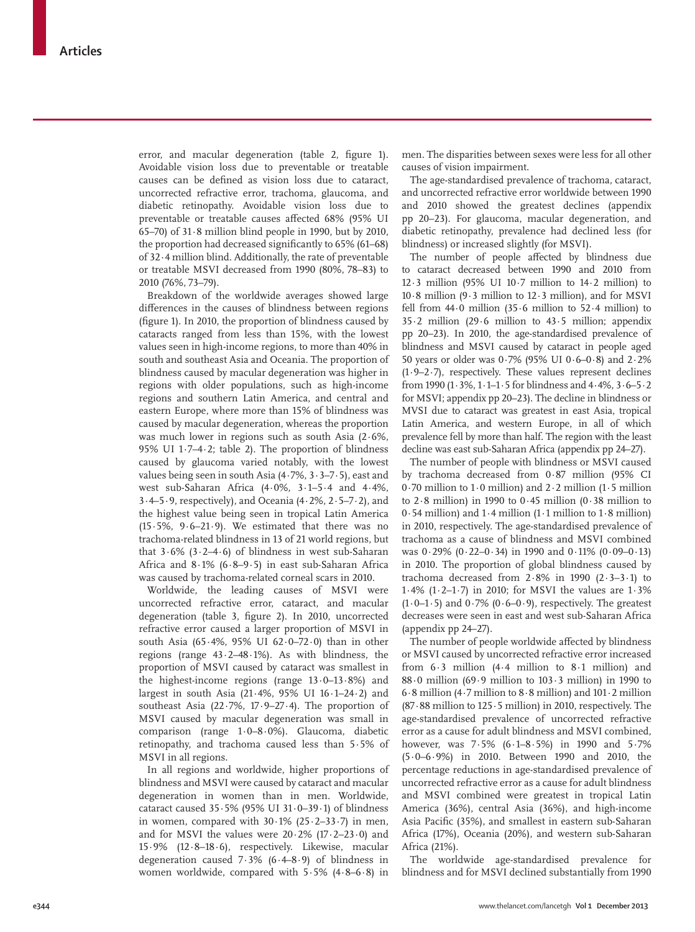error, and macular degeneration (table 2, figure 1). Avoidable vision loss due to preventable or treatable causes can be defined as vision loss due to cataract, uncorrected refractive error, trachoma, glaucoma, and diabetic retinopathy. Avoidable vision loss due to preventable or treatable causes affected 68% (95% UI 65–70) of 31·8 million blind people in 1990, but by 2010, the proportion had decreased significantly to 65% (61–68) of 32·4 million blind. Additionally, the rate of preventable or treatable MSVI decreased from 1990 (80%, 78–83) to 2010 (76%, 73–79).

Breakdown of the worldwide averages showed large differences in the causes of blindness between regions (figure 1). In 2010, the proportion of blindness caused by cataracts ranged from less than 15%, with the lowest values seen in high-income regions, to more than 40% in south and southeast Asia and Oceania. The proportion of blindness caused by macular degeneration was higher in regions with older populations, such as high-income regions and southern Latin America, and central and eastern Europe, where more than 15% of blindness was caused by macular degeneration, whereas the proportion was much lower in regions such as south Asia (2·6%, 95% UI 1·7–4·2; table 2). The proportion of blindness caused by glaucoma varied notably, with the lowest values being seen in south Asia  $(4.7\%, 3.3-7.5)$ , east and west sub-Saharan Africa (4·0%, 3·1–5·4 and 4·4%,  $3.4-5.9$ , respectively), and Oceania  $(4.2\%, 2.5-7.2)$ , and the highest value being seen in tropical Latin America (15·5%, 9·6–21·9). We estimated that there was no trachoma-related blindness in 13 of 21 world regions, but that  $3.6\%$  ( $3.2-4.6$ ) of blindness in west sub-Saharan Africa and 8·1% (6·8–9·5) in east sub-Saharan Africa was caused by trachoma-related corneal scars in 2010.

Worldwide, the leading causes of MSVI were uncorrected refractive error, cataract, and macular degeneration (table 3, figure 2). In 2010, uncorrected refractive error caused a larger proportion of MSVI in south Asia (65·4%, 95% UI 62·0–72·0) than in other regions (range 43·2–48·1%). As with blindness, the proportion of MSVI caused by cataract was smallest in the highest-income regions (range  $13.0-13.8\%$ ) and largest in south Asia  $(21.4\%, 95\% \text{ UI } 16.1-24.2)$  and southeast Asia (22·7%, 17·9–27·4). The proportion of MSVI caused by macular degeneration was small in comparison (range 1·0–8·0%). Glaucoma, diabetic retinopathy, and trachoma caused less than 5·5% of MSVI in all regions.

In all regions and worldwide, higher proportions of blindness and MSVI were caused by cataract and macular degeneration in women than in men. Worldwide, cataract caused  $35.5\%$  (95% UI  $31.0-39.1$ ) of blindness in women, compared with  $30.1\%$  (25 $-2-33.7$ ) in men, and for MSVI the values were  $20.2\%$  (17 $-2-23.0$ ) and 15·9% (12·8–18·6), respectively. Likewise, macular degeneration caused 7·3% (6·4–8·9) of blindness in women worldwide, compared with 5·5% (4·8–6·8) in men. The disparities between sexes were less for all other causes of vision impairment.

The age-standardised prevalence of trachoma, cataract, and uncorrected refractive error worldwide between 1990 and 2010 showed the greatest declines (appendix pp 20–23). For glaucoma, macular degeneration, and diabetic retinopathy, prevalence had declined less (for blindness) or increased slightly (for MSVI).

The number of people affected by blindness due to cataract decreased between 1990 and 2010 from 12 $\cdot$ 3 million (95% UI 10 $\cdot$ 7 million to 14 $\cdot$ 2 million) to  $10.8$  million  $(9.3 \text{ million to } 12.3 \text{ million})$ , and for MSVI fell from  $44.0$  million  $(35.6$  million to  $52.4$  million) to 35·2 million (29·6 million to 43·5 million; appendix pp 20–23). In 2010, the age-standardised prevalence of blindness and MSVI caused by cataract in people aged 50 years or older was 0·7% (95% UI 0·6–0·8) and 2·2%  $(1.9-2.7)$ , respectively. These values represent declines from 1990 (1·3%, 1·1–1·5 for blindness and 4·4%, 3·6–5·2 for MSVI; appendix pp 20–23). The decline in blindness or MVSI due to cataract was greatest in east Asia, tropical Latin America, and western Europe, in all of which prevalence fell by more than half. The region with the least decline was east sub-Saharan Africa (appendix pp 24–27).

The number of people with blindness or MSVI caused by trachoma decreased from 0·87 million (95% CI 0.70 million to 1.0 million) and  $2.2$  million (1.5 million to 2 $\cdot$ 8 million) in 1990 to 0 $\cdot$ 45 million (0 $\cdot$ 38 million to  $0.54$  million) and  $1.4$  million ( $1.1$  million to  $1.8$  million) in 2010, respectively. The age-standardised prevalence of trachoma as a cause of blindness and MSVI combined was  $0.29\%$  (0.22–0.34) in 1990 and  $0.11\%$  (0.09–0.13) in 2010. The proportion of global blindness caused by trachoma decreased from  $2.8\%$  in 1990  $(2.3-3.1)$  to 1·4% (1·2–1·7) in 2010; for MSVI the values are 1·3%  $(1.0-1.5)$  and  $0.7\%$   $(0.6-0.9)$ , respectively. The greatest decreases were seen in east and west sub-Saharan Africa (appendix pp 24–27).

The number of people worldwide affected by blindness or MSVI caused by uncorrected refractive error increased from  $6·3$  million  $(4·4$  million to  $8·1$  million) and 88·0 million (69·9 million to 103·3 million) in 1990 to  $6.8$  million (4.7 million to  $8.8$  million) and  $101.2$  million  $(87.88 \text{ million to } 125.5 \text{ million})$  in 2010, respectively. The age-standardised prevalence of uncorrected refractive error as a cause for adult blindness and MSVI combined, however, was 7·5% (6·1–8·5%) in 1990 and 5·7% (5·0–6·9%) in 2010. Between 1990 and 2010, the percentage reductions in age-standardised prevalence of uncorrected refractive error as a cause for adult blindness and MSVI combined were greatest in tropical Latin America (36%), central Asia (36%), and high-income Asia Pacific (35%), and smallest in eastern sub-Saharan Africa (17%), Oceania (20%), and western sub-Saharan Africa (21%).

The worldwide age-standardised prevalence for blindness and for MSVI declined substantially from 1990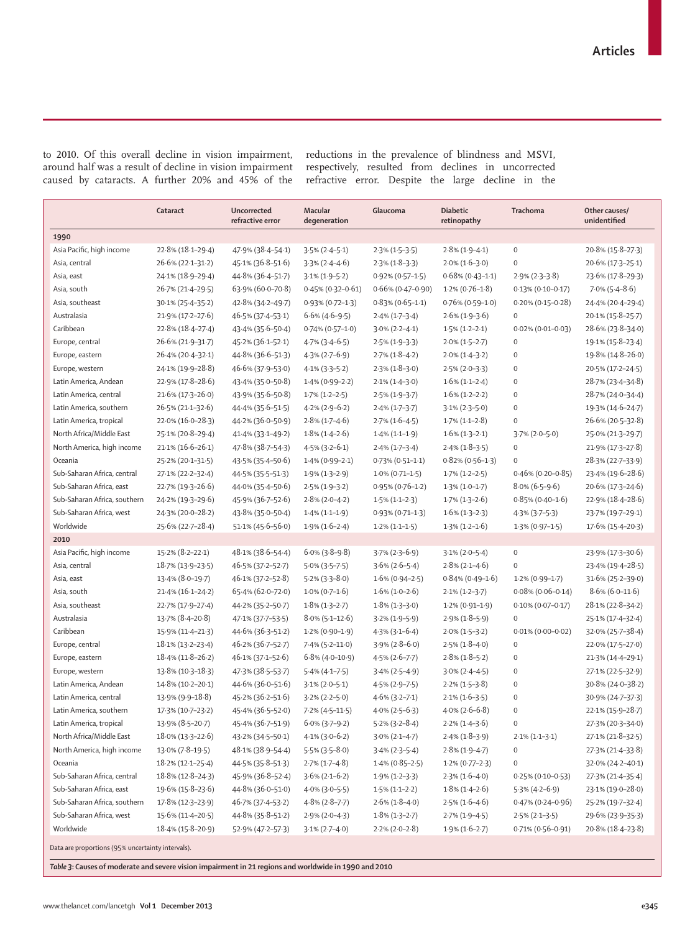to 2010. Of this overall decline in vision impairment, around half was a result of decline in vision impairment

caused by cataracts. A further 20% and 45% of the refractive error. Despite the large decline in the reductions in the prevalence of blindness and MSVI, respectively, resulted from declines in uncorrected

|                                                   | Cataract                 | Uncorrected<br>refractive error | Macular<br>degeneration | Glaucoma              | <b>Diabetic</b><br>retinopathy | Trachoma             | Other causes/<br>unidentified |  |  |
|---------------------------------------------------|--------------------------|---------------------------------|-------------------------|-----------------------|--------------------------------|----------------------|-------------------------------|--|--|
| 1990                                              |                          |                                 |                         |                       |                                |                      |                               |  |  |
| Asia Pacific, high income                         | $22.8\% (18.1 - 29.4)$   | 47.9% (38.4-54.1)               | $3.5\%$ (2.4-5.1)       | $2.3\%$ (1.5-3.5)     | $2.8\%$ (1.9-4.1)              | 0                    | 20.8% (15.8-27.3)             |  |  |
| Asia, central                                     | 26.6% (22.1-31.2)        | 45.1% (36.8–51.6)               | $3.3\%$ (2.4-4.6)       | $2.3\%$ (1.8-3.3)     | $2.0\%$ $(1.6-3.0)$            | $\mathbf 0$          | 20.6% (17.3-25.1)             |  |  |
| Asia, east                                        | 24.1% (18.9-29.4)        | 44.8% (36.4–51.7)               | $3.1\% (1.9 - 5.2)$     | $0.92\%$ (0.57-1.5)   | $0.68\%$ (0.43-1.1)            | $2.9\%$ (2.3-3.8)    | 23.6% (17.8-29.3)             |  |  |
| Asia, south                                       | 26.7% (21.4-29.5)        | 63.9% (60.0-70.8)               | $0.45\%$ (0.32-0.61)    | $0.66\%$ (0.47-0.90)  | $1.2\%$ (0.76-1.8)             | $0.13\%$ (0.10-0.17) | $7.0\%$ (5.4–8.6)             |  |  |
| Asia, southeast                                   | 30.1% (25.4-35.2)        | 42.8% (34.2-49.7)               | $0.93\%$ (0.72-1.3)     | $0.83\%$ (0.65-1.1)   | $0.76\%$ (0.59-1.0)            | $0.20\%$ (0.15-0.28) | 24.4% (20.4-29.4)             |  |  |
| Australasia                                       | $21.9\% (17.2 - 27.6)$   | $46.5\%$ (37 $-4-53.1$ )        | $6.6\%$ (4.6–9.5)       | $2.4\%$ (1.7-3.4)     | $2.6\%$ (1.9-3.6)              | $\mathbf 0$          | 20.1% (15.8-25.7)             |  |  |
| Caribbean                                         | $22.8\% (18.4 - 27.4)$   | $43.4\%$ (35.6-50.4)            | $0.74\%$ (0.57-1.0)     | $3.0\%$ (2.2-4.1)     | $1.5\%$ (1.2-2.1)              | $0.02\%$ (0.01-0.03) | 28.6% (23.8-34.0)             |  |  |
| Europe, central                                   | 26.6% (21.9-31.7)        | 45.2% (36.1-52.1)               | $4.7\%$ (3.4–6.5)       | $2.5\%$ (1.9-3.3)     | $2.0\%$ (1.5–2.7)              | 0                    | 19.1% (15.8-23.4)             |  |  |
| Europe, eastern                                   | 26.4% (20.4-32.1)        | 44.8% (36.6-51.3)               | $4.3\%$ (2.7–6.9)       | $2.7\%$ (1.8–4.2)     | $2.0\%$ (1.4-3.2)              | 0                    | 19.8% (14.8-26.0)             |  |  |
| Europe, western                                   | 24.1% (19.9-28.8)        | 46.6% (37.9–53.0)               | $4.1\%$ (3.3-5.2)       | $2.3\%$ (1.8-3.0)     | $2.5\%$ (2.0-3.3)              | $\,0\,$              | 20.5% (17.2-24.5)             |  |  |
| Latin America, Andean                             | 22.9% (17.8-28.6)        | 43.4% (35.0-50.8)               | $1.4\%$ (0.99-2.2)      | $2.1\% (1.4-3.0)$     | $1.6\%$ (1.1–2.4)              | $\,0\,$              | 28.7% (23.4-34.8)             |  |  |
| Latin America, central                            | 21.6% (17.3-26.0)        | $43.9\%$ (35.6–50.8)            | $1.7\%$ $(1.2-2.5)$     | $2.5\%$ (1.9-3.7)     | $1.6\%$ (1.2–2.2)              | $\boldsymbol{0}$     | 28.7% (24.0-34.4)             |  |  |
| Latin America, southern                           | 26.5% (21.1-32.6)        | 44.4% (35.6-51.5)               | $4.2\%$ (2.9-6.2)       | $2.4\% (1.7-3.7)$     | $3.1\% (2.3 - 5.0)$            | $\boldsymbol{0}$     | 19.3% (14.6-24.7)             |  |  |
| Latin America, tropical                           | 22.0% (16.0-28.3)        | 44.2% (36.0-50.9)               | $2.8\%$ (1.7–4.6)       | $2.7\%$ (1.6-4.5)     | $1.7\%$ $(1.1-2.8)$            | 0                    | 26.6% (20.5-32.8)             |  |  |
| North Africa/Middle East                          | 25.1% (20.8-29.4)        | 41.4% (33.1-49.2)               | $1.8\%$ (1.4–2.6)       | $1.4\%$ $(1.1-1.9)$   | $1.6\%$ (1.3-2.1)              | $3.7\%$ (2.0-5.0)    | 25.0% (21.3-29.7)             |  |  |
| North America, high income                        | $21.1\% (16.6 - 26.1)$   | 47.8% (38.7–54.3)               | $4.5\%$ (3.2–6.1)       | $2.4\%$ (1.7-3.4)     | $2.4\%$ (1.8-3.5)              | 0                    | $21.9\% (17.3 - 27.8)$        |  |  |
| Oceania                                           | 25.2% (20.1-31.5)        | $43.5\%$ (35.4-50.6)            | $1.4\%$ (0.99-2.1)      | $0.73\%$ (0.51-1.1)   | $0.82\%$ (0.56-1.3)            | $\mathbf 0$          | 28.3% (22.7-33.9)             |  |  |
| Sub-Saharan Africa, central                       | 27-1% (22-2-32-4)        | 44.5% (35.5-51.3)               | $1.9\%$ (1.3–2.9)       | $1.0\%$ (0.71–1.5)    | $1.7\%$ $(1.2-2.5)$            | $0.46\%$ (0.20-0.85) | 23.4% (19.6-28.6)             |  |  |
| Sub-Saharan Africa, east                          | 22.7% (19.3-26.6)        | 44.0% (35.4-50.6)               | $2.5\%$ (1.9-3.2)       | $0.95\%$ (0.76-1.2)   | $1.3\%$ (1.0-1.7)              | $8.0\%$ (6.5–9.6)    | $20.6\% (17.3 - 24.6)$        |  |  |
| Sub-Saharan Africa, southern                      | 24.2% (19.3-29.6)        | 45.9% (36.7-52.6)               | $2.8\%$ (2.0-4.2)       | $1.5\%$ (1.1-2.3)     | $1.7\%$ (1.3-2.6)              | $0.85\%$ (0.40-1.6)  | 22.9% (18.4-28.6)             |  |  |
| Sub-Saharan Africa, west                          | 24.3% (20.0-28.2)        | $43.8\%$ (35.0-50.4)            | $1.4\%$ $(1.1-1.9)$     | $0.93\%$ (0.71-1.3)   | $1.6\%$ (1.3-2.3)              | $4.3\%$ (3.7-5.3)    | 23.7% (19.7-29.1)             |  |  |
| Worldwide                                         | 25.6% (22.7-28.4)        | $51.1\% (45.6 - 56.0)$          | $1.9\%$ $(1.6-2.4)$     | $1.2\%$ (1.1–1.5)     | $1.3\%$ (1.2–1.6)              | $1.3\%$ (0.97-1.5)   | 17.6% (15.4-20.3)             |  |  |
| 2010                                              |                          |                                 |                         |                       |                                |                      |                               |  |  |
| Asia Pacific, high income                         | $15.2\% (8.2 - 22.1)$    | 48.1% (38.6–54.4)               | $6.0\%$ (3.8–9.8)       | $3.7\%$ (2.3-6.9)     | $3.1\% (2.0 - 5.4)$            | 0                    | 23.9% (17.3-30.6)             |  |  |
| Asia, central                                     | $18.7\%$ (13.9-23.5)     | 46.5% (37.2-52.7)               | $5.0\%$ (3.5-7.5)       | $3.6\%$ (2.6–5.4)     | $2.8\%$ (2.1–4.6)              | 0                    | 23.4% (19.4-28.5)             |  |  |
| Asia, east                                        | 13.4% (8.0-19.7)         | 46.1% (37.2–52.8)               | $5.2\%$ (3.3-8.0)       | $1.6\%$ (0.94-2.5)    | $0.84\%$ (0.49-1.6)            | $1.2\% (0.99 - 1.7)$ | 31.6% (25.2-39.0)             |  |  |
| Asia, south                                       | $21.4\% (16.1 - 24.2)$   | $65.4\% (62.0 - 72.0)$          | $1.0\%$ (0.7–1.6)       | $1.6\%$ (1.0–2.6)     | $2.1\% (1.2-3.7)$              | $0.08\%$ (0.06-0.14) | $8.6\%$ (6.0-11.6)            |  |  |
| Asia, southeast                                   | 22.7% (17.9-27.4)        | 44.2% (35.2-50.7)               | $1.8\%$ (1.3–2.7)       | $1.8\%$ (1.3-3.0)     | $1.2\% (0.91 - 1.9)$           | $0.10\%$ (0.07-0.17) | 28.1% (22.8-34.2)             |  |  |
| Australasia                                       | 13.7% (8.4-20.8)         | 47.1% (37.7-53.5)               | $8.0\%$ (5.1–12.6)      | $3.2\%$ (1.9-5.9)     | $2.9\%$ (1.8-5.9)              | $\boldsymbol{0}$     | 25.1% (17.4-32.4)             |  |  |
| Caribbean                                         | 15.9% (11.4-21.3)        | 44.6% (36.3-51.2)               | $1.2\%$ (0.90-1.9)      | $4.3\%$ (3.1–6.4)     | $2.0\%$ (1.5-3.2)              | $0.01\%$ (0.00-0.02) | 32.0% (25.7-38.4)             |  |  |
| Europe, central                                   | $18.1\% (13.2 - 23.4)$   | 46.2% (36.7-52.7)               | $7.4\%$ (5.2-11.0)      | $3.9\%$ (2.8-6.0)     | $2.5\%$ (1.8-4.0)              | 0                    | 22.0% (17.5-27.0)             |  |  |
| Europe, eastern                                   | $18.4\%$ (11.8-26.2)     | 46.1% (37.1-52.6)               | $6.8\%$ (4.0-10.9)      | $4.5\%$ (2.6-7.7)     | $2.8\%$ (1.8–5.2)              | 0                    | 21.3% (14.4-29.1)             |  |  |
| Europe, western                                   | 13.8% (10.3-18.3)        | 47.3% (38.5-53.7)               | $5.4\%$ (4.1-7.5)       | $3.4\%$ (2 $-5-4.9$ ) | $3.0\%$ (2.4-4.5)              | $\boldsymbol{0}$     | 27.1% (22.5–32.9)             |  |  |
| Latin America, Andean                             | $14.8\%$ (10.2-20.1)     | 44.6% (36.0-51.6)               | $3.1\% (2.0 - 5.1)$     | $4.5\%$ (2.9-7.5)     | $2.2\%$ (1.5-3.8)              | $\boldsymbol{0}$     | 30.8% (24.0-38.2)             |  |  |
| Latin America, central                            | 13.9% (9.9-18.8)         | 45.2% (36.2–51.6)               | $3.2\%$ (2.2-5.0)       | $4.6\%$ (3.2-7.1)     | $2.1\%$ (1.6-3.5)              | $\mathsf{O}\xspace$  | 30.9% (24.7-37.3)             |  |  |
| Latin America, southern                           | 17.3% (10.7-23.2)        | 45.4% (36.5-52.0)               | $7.2\%$ (4.5-11.5)      | $4.0\%$ (2.5–6.3)     | $4.0\%$ (2.6–6.8)              | 0                    | 22.1% (15.9-28.7)             |  |  |
| Latin America, tropical                           | 13.9% (8.5-20.7)         | 45.4% (36.7-51.9)               | $6.0\%$ (3.7-9.2)       | $5.2\%$ (3.2-8.4)     | $2.2\% (1.4-3.6)$              | 0                    | 27.3% (20.3-34.0)             |  |  |
| North Africa/Middle East                          | $18.0\%$ (13.3-22.6)     | 43.2% (34.5-50.1)               | $4.1\%$ (3.0-6.2)       | $3.0\%$ (2.1–4.7)     | $2.4\%$ (1.8-3.9)              | $2.1\% (1.1 - 3.1)$  | 27.1% (21.8-32.5)             |  |  |
| North America, high income                        | $13.0\% (7.8-19.5)$      | 48.1% (38.9-54.4)               | $5.5\%$ (3.5-8.0)       | $3.4\%$ (2.3-5.4)     | $2.8\%$ (1.9-4.7)              | 0                    | 27.3% (21.4-33.8)             |  |  |
| Oceania                                           | $18.2\% (12.1 - 25.4)$   | $44.5\%$ (35 $-51.3$ )          | $2.7\%$ (1.7-4.8)       | $1.4\% (0.85 - 2.5)$  | $1.2\% (0.77 - 2.3)$           | 0                    | 32.0% (24.2-40.1)             |  |  |
| Sub-Saharan Africa, central                       | $18.8\%$ (12.8-24.3)     | $45.9\%$ (36.8-52.4)            | $3.6\% (2.1 - 6.2)$     | $1.9\%$ (1.2-3.3)     | $2.3\%$ (1.6–4.0)              | $0.25\%$ (0.10-0.53) | 27.3% (21.4-35.4)             |  |  |
| Sub-Saharan Africa, east                          | 19.6% (15.8-23.6)        | 44.8% (36.0-51.0)               | $4.0\%$ (3.0-5.5)       | $1.5\%$ (1.1-2.2)     | $1.8\%$ (1.4–2.6)              | $5.3\%$ (4.2–6.9)    | 23.1% (19.0-28.0)             |  |  |
| Sub-Saharan Africa, southern                      | 17.8% (12.3-23.9)        | 46.7% (37.4-53.2)               | $4.8\%$ (2.8–7.7)       | $2.6\%$ (1.8-4.0)     | $2.5\%$ (1.6–4.6)              | 0.47% (0.24-0.96)    | 25.2% (19.7-32.4)             |  |  |
| Sub-Saharan Africa, west                          | $15.6\% (11.4 - 20.5)$   | $44.8\%$ (35.8-51.2)            | $2.9\%$ (2.0-4.3)       | $1.8\%$ (1.3-2.7)     | $2.7\%$ (1.9-4.5)              | $2.5\%$ (2.1-3.5)    | 29.6% (23.9-35.3)             |  |  |
| Worldwide                                         | $18.4\%$ (15 $-8-20.9$ ) | 52.9% (47.2-57.3)               | $3.1\% (2.7 - 4.0)$     | $2.2\%$ (2.0-2.8)     | $1.9\%$ (1.6–2.7)              | $0.71\%$ (0.56-0.91) | 20.8% (18.4-23.8)             |  |  |
| Data are proportions (95% uncertainty intervals). |                          |                                 |                         |                       |                                |                      |                               |  |  |

*Table 3***: Causes of moderate and severe vision impairment in 21 regions and worldwide in 1990 and 2010**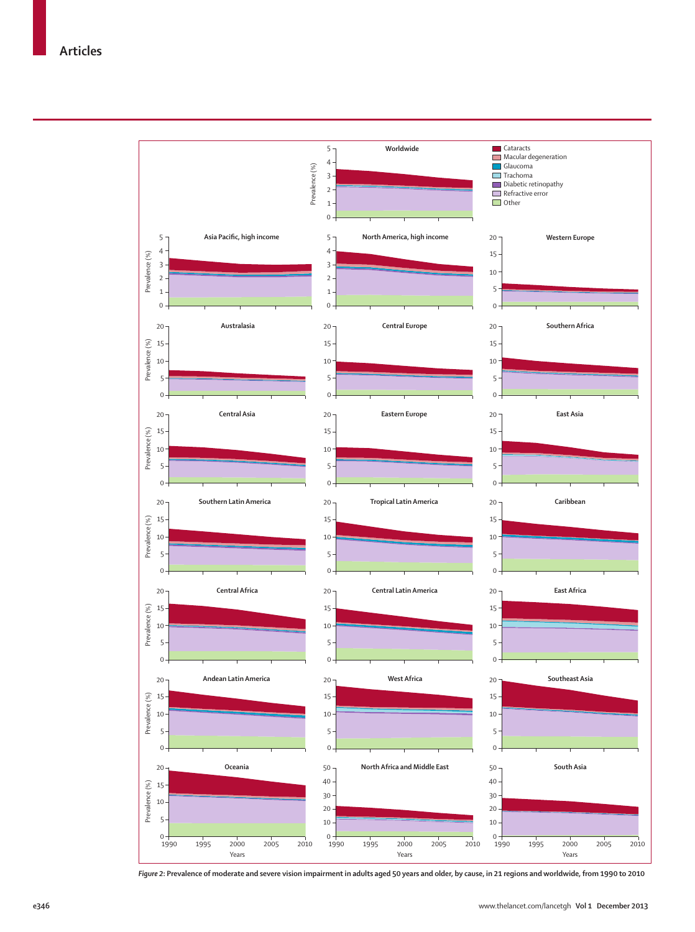

*Figure 2***: Prevalence of moderate and severe vision impairment in adults aged 50 years and older, by cause, in 21 regions and worldwide, from 1990 to 2010**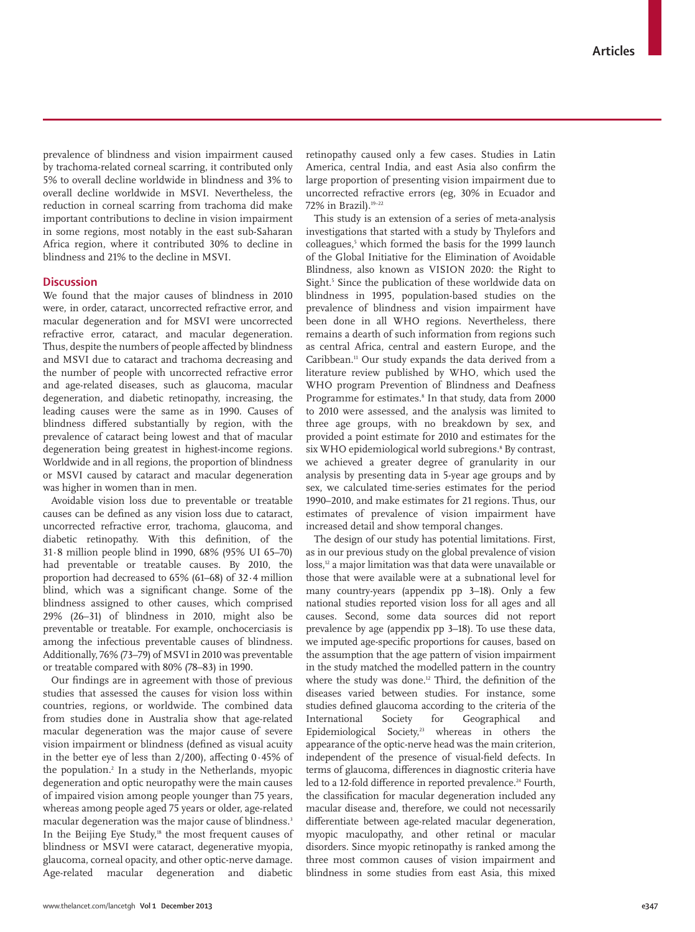prevalence of blindness and vision impairment caused by trachoma-related corneal scarring, it contributed only 5% to overall decline worldwide in blindness and 3% to overall decline worldwide in MSVI. Nevertheless, the reduction in corneal scarring from trachoma did make important contributions to decline in vision impairment in some regions, most notably in the east sub-Saharan Africa region, where it contributed 30% to decline in blindness and 21% to the decline in MSVI.

# **Discussion**

We found that the major causes of blindness in 2010 were, in order, cataract, uncorrected refractive error, and macular degeneration and for MSVI were uncorrected refractive error, cataract, and macular degeneration. Thus, despite the numbers of people affected by blindness and MSVI due to cataract and trachoma decreasing and the number of people with uncorrected refractive error and age-related diseases, such as glaucoma, macular degeneration, and diabetic retinopathy, increasing, the leading causes were the same as in 1990. Causes of blindness differed substantially by region, with the prevalence of cataract being lowest and that of macular degeneration being greatest in highest-income regions. Worldwide and in all regions, the proportion of blindness or MSVI caused by cataract and macular degeneration was higher in women than in men.

Avoidable vision loss due to preventable or treatable causes can be defined as any vision loss due to cataract, uncorrected refractive error, trachoma, glaucoma, and diabetic retinopathy. With this definition, of the 31·8 million people blind in 1990, 68% (95% UI 65–70) had preventable or treatable causes. By 2010, the proportion had decreased to 65% (61–68) of 32·4 million blind, which was a significant change. Some of the blindness assigned to other causes, which comprised 29% (26–31) of blindness in 2010, might also be preventable or treatable. For example, onchocerciasis is among the infectious preventable causes of blindness. Additionally, 76% (73–79) of MSVI in 2010 was preventable or treatable compared with 80% (78–83) in 1990.

Our findings are in agreement with those of previous studies that assessed the causes for vision loss within countries, regions, or worldwide. The combined data from studies done in Australia show that age-related macular degeneration was the major cause of severe vision impairment or blindness (defined as visual acuity in the better eye of less than  $2/200$ ), affecting  $0.45\%$  of the population.2 In a study in the Netherlands, myopic degeneration and optic neuropathy were the main causes of impaired vision among people younger than 75 years, whereas among people aged 75 years or older, age-related macular degeneration was the major cause of blindness.<sup>3</sup> In the Beijing Eye Study,<sup>18</sup> the most frequent causes of blindness or MSVI were cataract, degenerative myopia, glaucoma, corneal opacity, and other optic-nerve damage. Age-related macular degeneration and diabetic

retinopathy caused only a few cases. Studies in Latin America, central India, and east Asia also confirm the large proportion of presenting vision impairment due to uncorrected refractive errors (eg, 30% in Ecuador and 72% in Brazil).19–22

This study is an extension of a series of meta-analysis investigations that started with a study by Thylefors and colleagues,<sup>5</sup> which formed the basis for the 1999 launch of the Global Initiative for the Elimination of Avoidable Blindness, also known as VISION 2020: the Right to Sight.<sup>5</sup> Since the publication of these worldwide data on blindness in 1995, population-based studies on the prevalence of blindness and vision impairment have been done in all WHO regions. Nevertheless, there remains a dearth of such information from regions such as central Africa, central and eastern Europe, and the Caribbean.11 Our study expands the data derived from a literature review published by WHO, which used the WHO program Prevention of Blindness and Deafness Programme for estimates.<sup>8</sup> In that study, data from 2000 to 2010 were assessed, and the analysis was limited to three age groups, with no breakdown by sex, and provided a point estimate for 2010 and estimates for the six WHO epidemiological world subregions.<sup>8</sup> By contrast, we achieved a greater degree of granularity in our analysis by presenting data in 5-year age groups and by sex, we calculated time-series estimates for the period 1990–2010, and make estimates for 21 regions. Thus, our estimates of prevalence of vision impairment have increased detail and show temporal changes.

The design of our study has potential limitations. First, as in our previous study on the global prevalence of vision loss,<sup>12</sup> a major limitation was that data were unavailable or those that were available were at a subnational level for many country-years (appendix pp 3–18). Only a few national studies reported vision loss for all ages and all causes. Second, some data sources did not report prevalence by age (appendix pp 3–18). To use these data, we imputed age-specific proportions for causes, based on the assumption that the age pattern of vision impairment in the study matched the modelled pattern in the country where the study was done.<sup>12</sup> Third, the definition of the diseases varied between studies. For instance, some studies defined glaucoma according to the criteria of the International Society for Geographical and Epidemiological Society,<sup>23</sup> whereas in others the appearance of the optic-nerve head was the main criterion, independent of the presence of visual-field defects. In terms of glaucoma, differences in diagnostic criteria have led to a 12-fold difference in reported prevalence.<sup>24</sup> Fourth, the classification for macular degeneration included any macular disease and, therefore, we could not necessarily differentiate between age-related macular degeneration, myopic maculopathy, and other retinal or macular disorders. Since myopic retinopathy is ranked among the three most common causes of vision impairment and blindness in some studies from east Asia, this mixed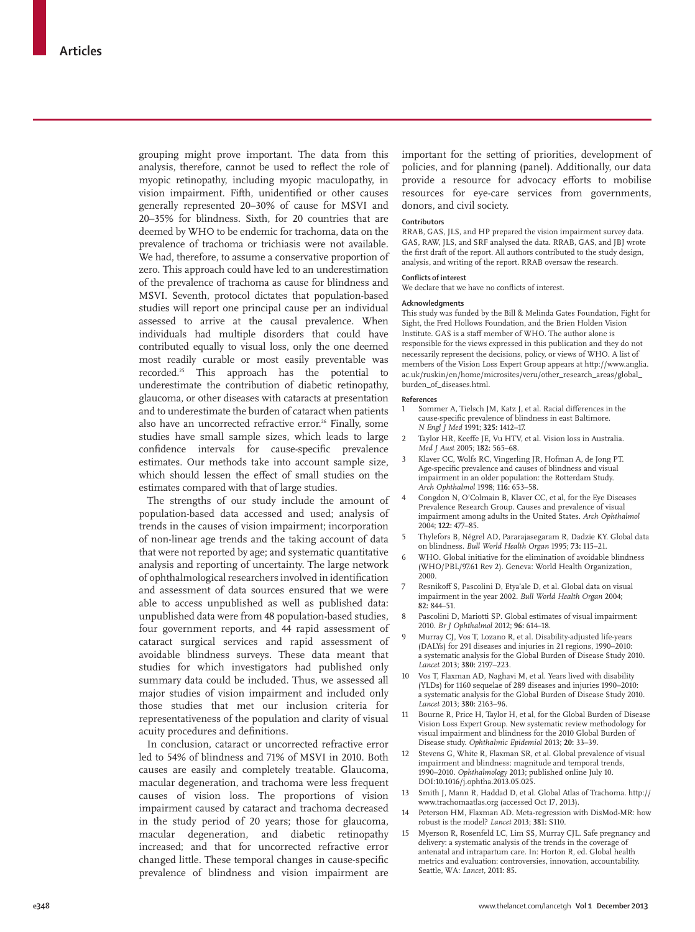grouping might prove important. The data from this analysis, therefore, cannot be used to reflect the role of myopic retinopathy, including myopic maculopathy, in vision impairment. Fifth, unidentified or other causes generally represented 20–30% of cause for MSVI and 20–35% for blindness. Sixth, for 20 countries that are deemed by WHO to be endemic for trachoma, data on the prevalence of trachoma or trichiasis were not available. We had, therefore, to assume a conservative proportion of zero. This approach could have led to an underestimation of the prevalence of trachoma as cause for blindness and MSVI. Seventh, protocol dictates that population-based studies will report one principal cause per an individual assessed to arrive at the causal prevalence. When individuals had multiple disorders that could have contributed equally to visual loss, only the one deemed most readily curable or most easily preventable was recorded.25 This approach has the potential to underestimate the contribution of diabetic retinopathy, glaucoma, or other diseases with cataracts at presentation and to underestimate the burden of cataract when patients also have an uncorrected refractive error.<sup>26</sup> Finally, some studies have small sample sizes, which leads to large confidence intervals for cause-specific prevalence estimates. Our methods take into account sample size, which should lessen the effect of small studies on the estimates compared with that of large studies.

The strengths of our study include the amount of population-based data accessed and used; analysis of trends in the causes of vision impairment; incorporation of non-linear age trends and the taking account of data that were not reported by age; and systematic quantitative analysis and reporting of uncertainty. The large network of ophthalmological researchers involved in identification and assessment of data sources ensured that we were able to access unpublished as well as published data: unpublished data were from 48 population-based studies, four government reports, and 44 rapid assessment of cataract surgical services and rapid assessment of avoidable blindness surveys. These data meant that studies for which investigators had published only summary data could be included. Thus, we assessed all major studies of vision impairment and included only those studies that met our inclusion criteria for representativeness of the population and clarity of visual acuity procedures and definitions.

In conclusion, cataract or uncorrected refractive error led to 54% of blindness and 71% of MSVI in 2010. Both causes are easily and completely treatable. Glaucoma, macular degeneration, and trachoma were less frequent causes of vision loss. The proportions of vision impairment caused by cataract and trachoma decreased in the study period of 20 years; those for glaucoma, macular degeneration, and diabetic retinopathy increased; and that for uncorrected refractive error changed little. These temporal changes in cause-specific prevalence of blindness and vision impairment are

important for the setting of priorities, development of policies, and for planning (panel). Additionally, our data provide a resource for advocacy efforts to mobilise resources for eye-care services from governments, donors, and civil society.

# **Contributors**

RRAB, GAS, JLS, and HP prepared the vision impairment survey data. GAS, RAW, JLS, and SRF analysed the data. RRAB, GAS, and JBJ wrote the first draft of the report. All authors contributed to the study design, analysis, and writing of the report. RRAB oversaw the research.

#### **Confl icts of interest**

We declare that we have no conflicts of interest.

#### **Acknowledgments**

This study was funded by the Bill & Melinda Gates Foundation, Fight for Sight, the Fred Hollows Foundation, and the Brien Holden Vision Institute. GAS is a staff member of WHO. The author alone is responsible for the views expressed in this publication and they do not necessarily represent the decisions, policy, or views of WHO. A list of members of the Vision Loss Expert Group appears at http://www.anglia. ac.uk/ruskin/en/home/microsites/veru/other\_research\_areas/global\_ burden\_of\_diseases.html.

# **References**

- Sommer A, Tielsch JM, Katz J, et al. Racial differences in the cause-specific prevalence of blindness in east Baltimore. *N Engl J Med* 1991; **325:** 1412–17.
- Taylor HR, Keeffe JE, Vu HTV, et al. Vision loss in Australia. *Med J Aust* 2005; **182:** 565–68.
- 3 Klaver CC, Wolfs RC, Vingerling JR, Hofman A, de Jong PT. Age-specific prevalence and causes of blindness and visual impairment in an older population: the Rotterdam Study. *Arch Ophthalmol* 1998; **116:** 653–58.
- 4 Congdon N, O'Colmain B, Klaver CC, et al, for the Eye Diseases Prevalence Research Group. Causes and prevalence of visual impairment among adults in the United States. *Arch Ophthalmol* 2004; **122:** 477–85.
- 5 Thylefors B, Négrel AD, Pararajasegaram R, Dadzie KY. Global data on blindness. *Bull World Health Organ* 1995; **73:** 115–21.
- WHO. Global initiative for the elimination of avoidable blindness (WHO/PBL/97.61 Rev 2). Geneva: World Health Organization, 2000.
- 7 Resnikoff S, Pascolini D, Etya'ale D, et al. Global data on visual impairment in the year 2002. *Bull World Health Organ* 2004; **82:** 844–51.
- 8 Pascolini D, Mariotti SP. Global estimates of visual impairment: 2010. *Br J Ophthalmol* 2012; **96:** 614–18.
- 9 Murray CJ, Vos T, Lozano R, et al. Disability-adjusted life-years (DALYs) for 291 diseases and injuries in 21 regions, 1990–2010: a systematic analysis for the Global Burden of Disease Study 2010. *Lancet* 2013; **380:** 2197–223.
- 10 Vos T, Flaxman AD, Naghavi M, et al. Years lived with disability (YLDs) for 1160 sequelae of 289 diseases and injuries 1990–2010: a systematic analysis for the Global Burden of Disease Study 2010. *Lancet* 2013; **380:** 2163–96.
- 11 Bourne R, Price H, Taylor H, et al, for the Global Burden of Disease Vision Loss Expert Group. New systematic review methodology for visual impairment and blindness for the 2010 Global Burden of Disease study. *Ophthalmic Epidemiol* 2013; **20:** 33–39.
- 12 Stevens G, White R, Flaxman SR, et al. Global prevalence of visual impairment and blindness: magnitude and temporal trends, 1990–2010. *Ophthalmology* 2013; published online July 10. DOI:10.1016/j.ophtha.2013.05.025.
- 13 Smith J, Mann R, Haddad D, et al. Global Atlas of Trachoma. http:// www.trachomaatlas.org (accessed Oct 17, 2013).
- 14 Peterson HM, Flaxman AD. Meta-regression with DisMod-MR: how robust is the model? *Lancet* 2013; **381:** S110.
- 15 Myerson R, Rosenfeld LC, Lim SS, Murray CJL. Safe pregnancy and delivery: a systematic analysis of the trends in the coverage of antenatal and intrapartum care. In: Horton R, ed. Global health metrics and evaluation: controversies, innovation, accountability. Seattle, WA: *Lancet*, 2011: 85.